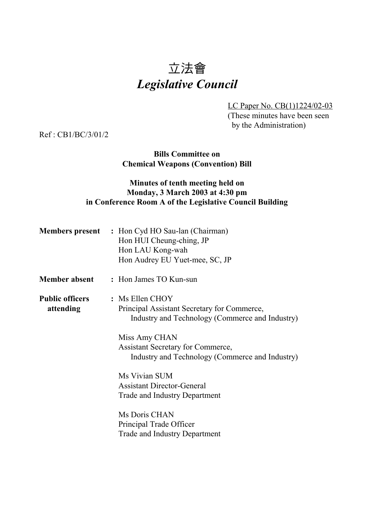# 立法會 *Legislative Council*

LC Paper No. CB(1)1224/02-03 (These minutes have been seen by the Administration)

Ref : CB1/BC/3/01/2

### **Bills Committee on Chemical Weapons (Convention) Bill**

# **Minutes of tenth meeting held on Monday, 3 March 2003 at 4:30 pm in Conference Room A of the Legislative Council Building**

|                                     | <b>Members present</b> : Hon Cyd HO Sau-lan (Chairman)<br>Hon HUI Cheung-ching, JP<br>Hon LAU Kong-wah<br>Hon Audrey EU Yuet-mee, SC, JP                                                                                            |
|-------------------------------------|-------------------------------------------------------------------------------------------------------------------------------------------------------------------------------------------------------------------------------------|
| <b>Member absent</b>                | : Hon James TO Kun-sun                                                                                                                                                                                                              |
| <b>Public officers</b><br>attending | $:$ Ms Ellen CHOY<br>Principal Assistant Secretary for Commerce,<br>Industry and Technology (Commerce and Industry)<br>Miss Amy CHAN<br><b>Assistant Secretary for Commerce,</b><br>Industry and Technology (Commerce and Industry) |
|                                     | Ms Vivian SUM<br><b>Assistant Director-General</b><br>Trade and Industry Department<br>Ms Doris CHAN<br>Principal Trade Officer<br><b>Trade and Industry Department</b>                                                             |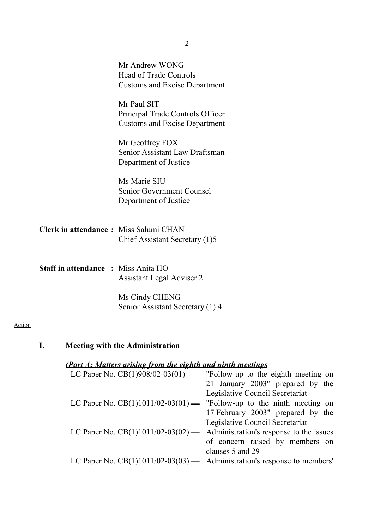|                                            | Mr Andrew WONG<br><b>Head of Trade Controls</b><br><b>Customs and Excise Department</b> |
|--------------------------------------------|-----------------------------------------------------------------------------------------|
|                                            | Mr Paul SIT<br>Principal Trade Controls Officer<br><b>Customs and Excise Department</b> |
|                                            | Mr Geoffrey FOX<br>Senior Assistant Law Draftsman<br>Department of Justice              |
|                                            | Ms Marie SIU<br>Senior Government Counsel<br>Department of Justice                      |
| Clerk in attendance: Miss Salumi CHAN      | Chief Assistant Secretary (1)5                                                          |
| <b>Staff in attendance : Miss Anita HO</b> | Assistant Legal Adviser 2                                                               |
|                                            | Ms Cindy CHENG<br>Senior Assistant Secretary (1) 4                                      |

# Action

| I.<br><b>Meeting with the Administration</b> |
|----------------------------------------------|
|----------------------------------------------|

# *(Part A: Matters arising from the eighth and ninth meetings*

| LC Paper No. $CB(1)908/02-03(01)$ — "Follow-up to the eighth meeting on      |
|------------------------------------------------------------------------------|
| 21 January 2003" prepared by the                                             |
| Legislative Council Secretariat                                              |
| LC Paper No. $CB(1)1011/02-03(01)$ — "Follow-up to the ninth meeting on      |
| 17 February 2003" prepared by the                                            |
| Legislative Council Secretariat                                              |
| LC Paper No. $CB(1)1011/02-03(02)$ — Administration's response to the issues |
| of concern raised by members on                                              |
| clauses 5 and 29                                                             |
| LC Paper No. $CB(1)1011/02-03(03)$ — Administration's response to members'   |
|                                                                              |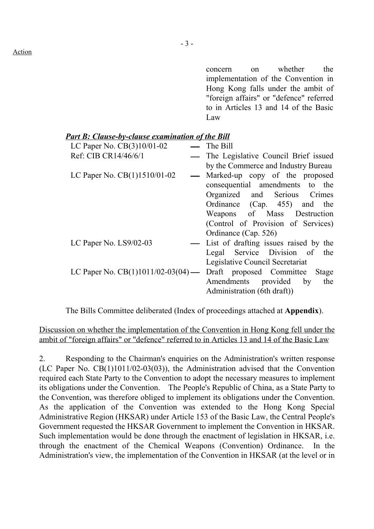concern on whether the implementation of the Convention in Hong Kong falls under the ambit of "foreign affairs" or "defence" referred to in Articles 13 and 14 of the Basic Law

| <b>Part B: Clause-by-clause examination of the Bill</b> |                                                                     |
|---------------------------------------------------------|---------------------------------------------------------------------|
| LC Paper No. CB(3)10/01-02                              | $\equiv$ The Bill                                                   |
| Ref: CIB CR14/46/6/1                                    | — The Legislative Council Brief issued                              |
|                                                         | by the Commerce and Industry Bureau                                 |
| LC Paper No. $CB(1)1510/01-02$                          | — Marked-up copy of the proposed                                    |
|                                                         | consequential amendments to the                                     |
|                                                         | Organized and Serious Crimes                                        |
|                                                         | Ordinance (Cap. 455) and the                                        |
|                                                         | Weapons of Mass Destruction                                         |
|                                                         | (Control of Provision of Services)                                  |
|                                                         | Ordinance (Cap. 526)                                                |
| LC Paper No. LS9/02-03                                  | List of drafting issues raised by the                               |
|                                                         | Legal Service Division of the                                       |
|                                                         | Legislative Council Secretariat                                     |
|                                                         | LC Paper No. $CB(1)1011/02-03(04)$ — Draft proposed Committee Stage |
|                                                         | Amendments provided by the                                          |
|                                                         | Administration (6th draft))                                         |
|                                                         |                                                                     |

The Bills Committee deliberated (Index of proceedings attached at **Appendix**).

Discussion on whether the implementation of the Convention in Hong Kong fell under the ambit of "foreign affairs" or "defence" referred to in Articles 13 and 14 of the Basic Law

2. Responding to the Chairman's enquiries on the Administration's written response (LC Paper No. CB(1)1011/02-03(03)), the Administration advised that the Convention required each State Party to the Convention to adopt the necessary measures to implement its obligations under the Convention. The People's Republic of China, as a State Party to the Convention, was therefore obliged to implement its obligations under the Convention. As the application of the Convention was extended to the Hong Kong Special Administrative Region (HKSAR) under Article 153 of the Basic Law, the Central People's Government requested the HKSAR Government to implement the Convention in HKSAR. Such implementation would be done through the enactment of legislation in HKSAR, i.e. through the enactment of the Chemical Weapons (Convention) Ordinance. In the Administration's view, the implementation of the Convention in HKSAR (at the level or in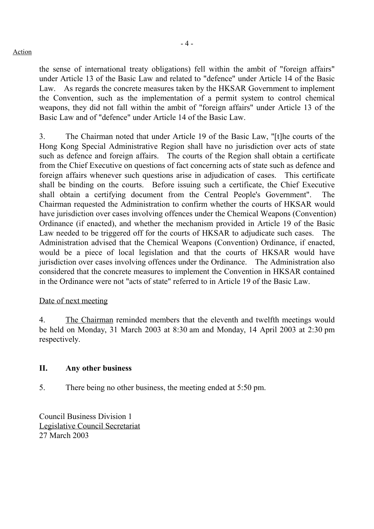#### Action

the sense of international treaty obligations) fell within the ambit of "foreign affairs" under Article 13 of the Basic Law and related to "defence" under Article 14 of the Basic Law. As regards the concrete measures taken by the HKSAR Government to implement the Convention, such as the implementation of a permit system to control chemical weapons, they did not fall within the ambit of "foreign affairs" under Article 13 of the Basic Law and of "defence" under Article 14 of the Basic Law.

3. The Chairman noted that under Article 19 of the Basic Law, "[t]he courts of the Hong Kong Special Administrative Region shall have no jurisdiction over acts of state such as defence and foreign affairs. The courts of the Region shall obtain a certificate from the Chief Executive on questions of fact concerning acts of state such as defence and foreign affairs whenever such questions arise in adjudication of cases. This certificate shall be binding on the courts. Before issuing such a certificate, the Chief Executive shall obtain a certifying document from the Central People's Government". The Chairman requested the Administration to confirm whether the courts of HKSAR would have jurisdiction over cases involving offences under the Chemical Weapons (Convention) Ordinance (if enacted), and whether the mechanism provided in Article 19 of the Basic Law needed to be triggered off for the courts of HKSAR to adjudicate such cases. The Administration advised that the Chemical Weapons (Convention) Ordinance, if enacted, would be a piece of local legislation and that the courts of HKSAR would have jurisdiction over cases involving offences under the Ordinance. The Administration also considered that the concrete measures to implement the Convention in HKSAR contained in the Ordinance were not "acts of state" referred to in Article 19 of the Basic Law.

# Date of next meeting

4. The Chairman reminded members that the eleventh and twelfth meetings would be held on Monday, 31 March 2003 at 8:30 am and Monday, 14 April 2003 at 2:30 pm respectively.

# **II. Any other business**

5. There being no other business, the meeting ended at 5:50 pm.

Council Business Division 1 Legislative Council Secretariat 27 March 2003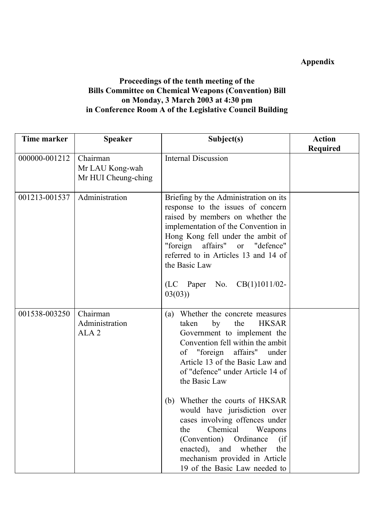# **Appendix**

# **Proceedings of the tenth meeting of the Bills Committee on Chemical Weapons (Convention) Bill on Monday, 3 March 2003 at 4:30 pm in Conference Room A of the Legislative Council Building**

| <b>Time marker</b> | <b>Speaker</b>                                 | Subject(s)                                                                                                                                                                                                                                                                               | <b>Action</b>   |
|--------------------|------------------------------------------------|------------------------------------------------------------------------------------------------------------------------------------------------------------------------------------------------------------------------------------------------------------------------------------------|-----------------|
| 000000-001212      | Chairman<br>Mr LAU Kong-wah                    | <b>Internal Discussion</b>                                                                                                                                                                                                                                                               | <b>Required</b> |
|                    | Mr HUI Cheung-ching                            |                                                                                                                                                                                                                                                                                          |                 |
| 001213-001537      | Administration                                 | Briefing by the Administration on its<br>response to the issues of concern<br>raised by members on whether the<br>implementation of the Convention in<br>Hong Kong fell under the ambit of<br>affairs" or "defence"<br>"foreign<br>referred to in Articles 13 and 14 of<br>the Basic Law |                 |
|                    |                                                | (LC Paper No. CB(1)1011/02-<br>03(03)                                                                                                                                                                                                                                                    |                 |
| 001538-003250      | Chairman<br>Administration<br>ALA <sub>2</sub> | Whether the concrete measures<br>(a)<br>taken<br>by<br>the<br><b>HKSAR</b><br>Government to implement the<br>Convention fell within the ambit<br>of "foreign affairs"<br>under<br>Article 13 of the Basic Law and<br>of "defence" under Article 14 of<br>the Basic Law                   |                 |
|                    |                                                | Whether the courts of HKSAR<br>(b)<br>would have jurisdiction over<br>cases involving offences under<br>Chemical<br>Weapons<br>the<br>(Convention) Ordinance<br>(if<br>enacted), and<br>whether<br>the<br>mechanism provided in Article<br>19 of the Basic Law needed to                 |                 |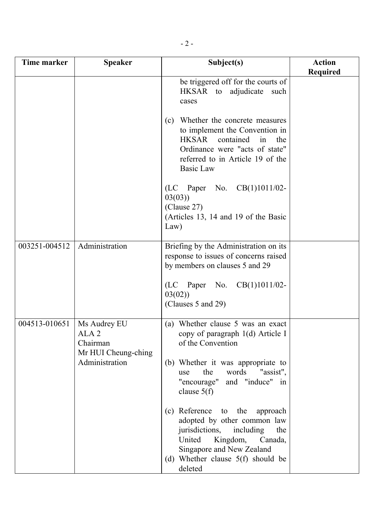| Time marker   | <b>Speaker</b>                                                                        | Subject(s)                                                                                                                                                                                                                                                                                                                                                                                                                             | <b>Action</b><br><b>Required</b> |
|---------------|---------------------------------------------------------------------------------------|----------------------------------------------------------------------------------------------------------------------------------------------------------------------------------------------------------------------------------------------------------------------------------------------------------------------------------------------------------------------------------------------------------------------------------------|----------------------------------|
|               |                                                                                       | be triggered off for the courts of<br>HKSAR to adjudicate<br>such<br>cases<br>Whether the concrete measures<br>(c)<br>to implement the Convention in<br><b>HKSAR</b><br>contained<br>in<br>the<br>Ordinance were "acts of state"<br>referred to in Article 19 of the<br><b>Basic Law</b><br>(LC Paper No. CB(1)1011/02-<br>03(03)<br>(Clause 27)<br>(Articles 13, 14 and 19 of the Basic<br>Law)                                       |                                  |
| 003251-004512 | Administration                                                                        | Briefing by the Administration on its<br>response to issues of concerns raised<br>by members on clauses 5 and 29<br>(LC Paper No. CB(1)1011/02-<br>03(02)<br>(Clauses 5 and 29)                                                                                                                                                                                                                                                        |                                  |
| 004513-010651 | Ms Audrey EU<br>ALA <sub>2</sub><br>Chairman<br>Mr HUI Cheung-ching<br>Administration | (a) Whether clause 5 was an exact<br>copy of paragraph 1(d) Article I<br>of the Convention<br>(b) Whether it was appropriate to<br>words<br>the<br>"assist",<br>use<br>"encourage"<br>and "induce" in<br>clause $5(f)$<br>(c) Reference to the approach<br>adopted by other common law<br>jurisdictions, including<br>the<br>United<br>Kingdom, Canada,<br>Singapore and New Zealand<br>(d) Whether clause $5(f)$ should be<br>deleted |                                  |